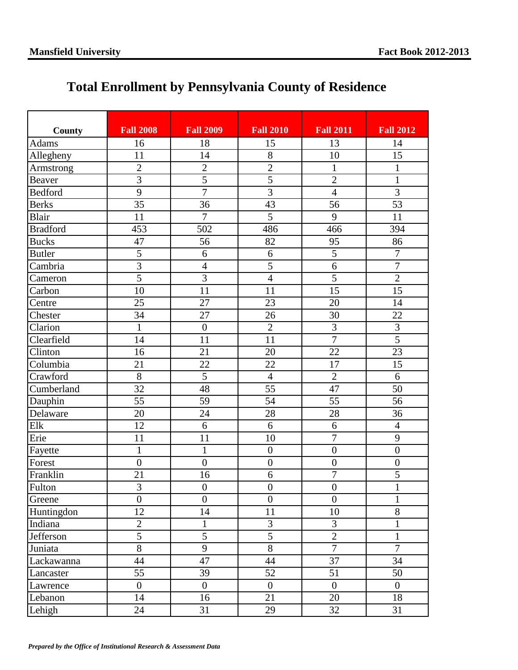## **Total Enrollment by Pennsylvania County of Residence**

| County          | <b>Fall 2008</b> | <b>Fall 2009</b> | <b>Fall 2010</b> | <b>Fall 2011</b> | <b>Fall 2012</b> |
|-----------------|------------------|------------------|------------------|------------------|------------------|
| <b>Adams</b>    | 16               | 18               | 15               | 13               | 14               |
| Allegheny       | 11               | 14               | 8                | 10               | 15               |
| Armstrong       | $\overline{2}$   | $\overline{2}$   | $\overline{2}$   | $\mathbf{1}$     | $\mathbf{1}$     |
| Beaver          | $\overline{3}$   | $\overline{5}$   | $\overline{5}$   | $\overline{2}$   | $\mathbf{1}$     |
| <b>Bedford</b>  | $\overline{9}$   | $\overline{7}$   | $\overline{3}$   | $\overline{4}$   | 3                |
| <b>Berks</b>    | 35               | 36               | 43               | 56               | 53               |
| Blair           | 11               | $\overline{7}$   | $\overline{5}$   | 9                | 11               |
| <b>Bradford</b> | 453              | 502              | 486              | 466              | 394              |
| <b>Bucks</b>    | 47               | 56               | 82               | 95               | 86               |
| <b>Butler</b>   | $\overline{5}$   | 6                | 6                | $\overline{5}$   | $\overline{7}$   |
| Cambria         | $\overline{3}$   | $\overline{4}$   | $\overline{5}$   | $\overline{6}$   | $\overline{7}$   |
| Cameron         | $\overline{5}$   | $\overline{3}$   | $\overline{4}$   | 5                | $\overline{2}$   |
| Carbon          | 10               | 11               | 11               | 15               | 15               |
| Centre          | 25               | 27               | 23               | 20               | 14               |
| Chester         | 34               | 27               | 26               | 30               | 22               |
| Clarion         | $\mathbf{1}$     | $\boldsymbol{0}$ | $\overline{2}$   | $\overline{3}$   | 3                |
| Clearfield      | 14               | 11               | 11               | $\overline{7}$   | $\overline{5}$   |
| Clinton         | 16               | 21               | 20               | 22               | 23               |
| Columbia        | 21               | 22               | 22               | 17               | 15               |
| Crawford        | $\overline{8}$   | $\overline{5}$   | $\overline{4}$   | $\overline{2}$   | 6                |
| Cumberland      | 32               | 48               | 55               | 47               | 50               |
| Dauphin         | 55               | 59               | 54               | 55               | 56               |
| Delaware        | 20               | 24               | 28               | 28               | 36               |
| Elk             | 12               | 6                | 6                | 6                | $\overline{4}$   |
| Erie            | 11               | 11               | 10               | $\overline{7}$   | 9                |
| Fayette         | $\mathbf{1}$     | $\mathbf{1}$     | $\overline{0}$   | $\overline{0}$   | $\boldsymbol{0}$ |
| Forest          | $\overline{0}$   | $\overline{0}$   | $\boldsymbol{0}$ | $\overline{0}$   | $\boldsymbol{0}$ |
| Franklin        | 21               | 16               | 6                | $\overline{7}$   | 5                |
| Fulton          | 3                | $\boldsymbol{0}$ | $\boldsymbol{0}$ | $\boldsymbol{0}$ | $\mathbf{1}$     |
| Greene          | $\overline{0}$   | $\overline{0}$   | $\boldsymbol{0}$ | $\boldsymbol{0}$ | $\mathbf{1}$     |
| Huntingdon      | 12               | 14               | 11               | 10               | 8                |
| Indiana         | $\overline{c}$   | $\mathbf{1}$     | 3                | $\overline{3}$   | $\mathbf{1}$     |
| Jefferson       | $\overline{5}$   | $\overline{5}$   | $\overline{5}$   | $\overline{2}$   | $\mathbf{1}$     |
| Juniata         | $\overline{8}$   | 9                | $\overline{8}$   | $\overline{7}$   | $\overline{7}$   |
| Lackawanna      | 44               | 47               | 44               | 37               | 34               |
| Lancaster       | 55               | 39               | 52               | 51               | 50               |
| Lawrence        | $\overline{0}$   | $\boldsymbol{0}$ | $\boldsymbol{0}$ | $\overline{0}$   | $\overline{0}$   |
| Lebanon         | 14               | 16               | 21               | 20               | 18               |
| Lehigh          | 24               | 31               | 29               | 32               | 31               |